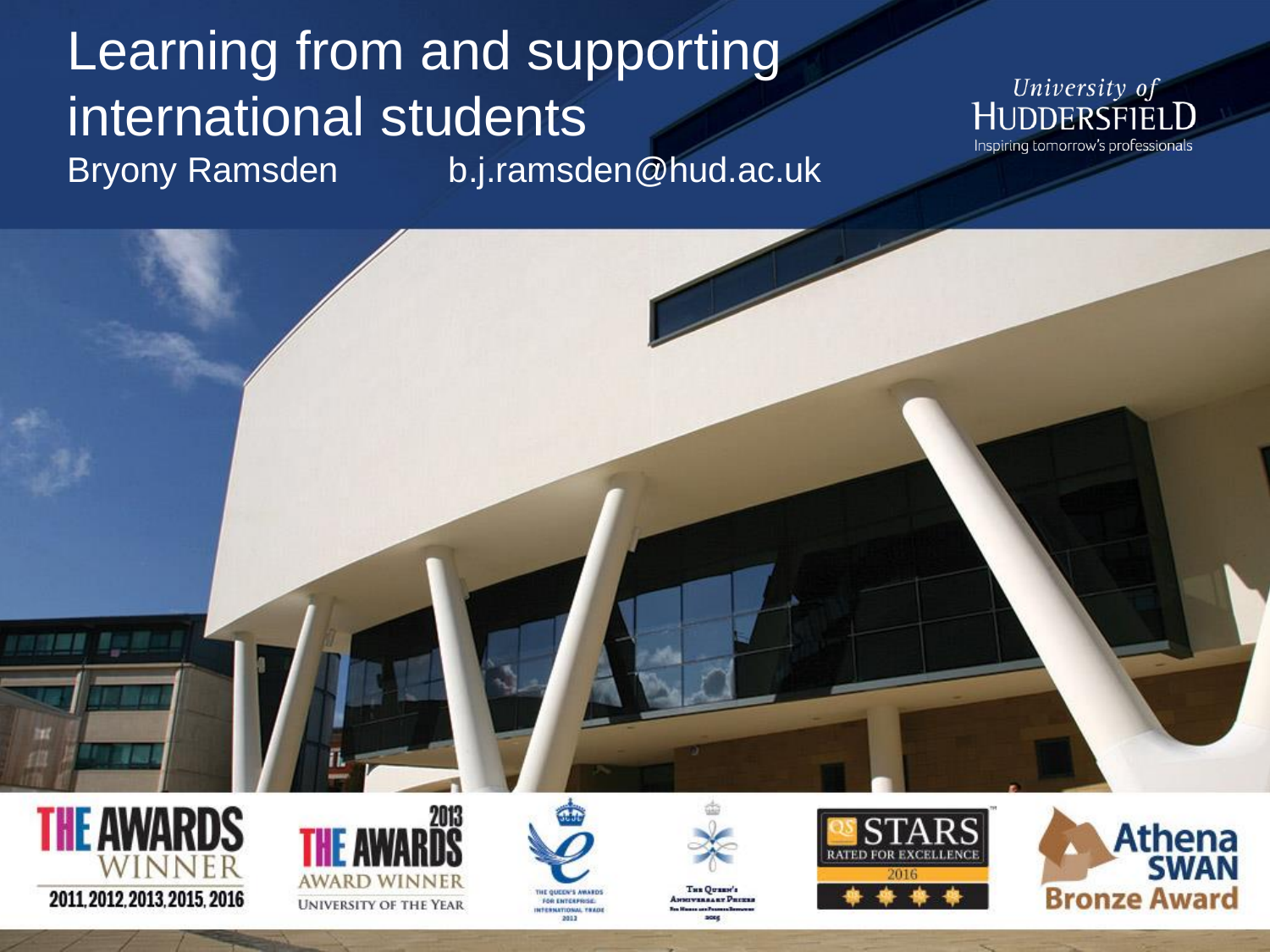### Learning from and supporting international students Bryony Ramsden b.j.ramsden@hud.ac.uk













THE OUREN'S **TERRARY PRINCE** 



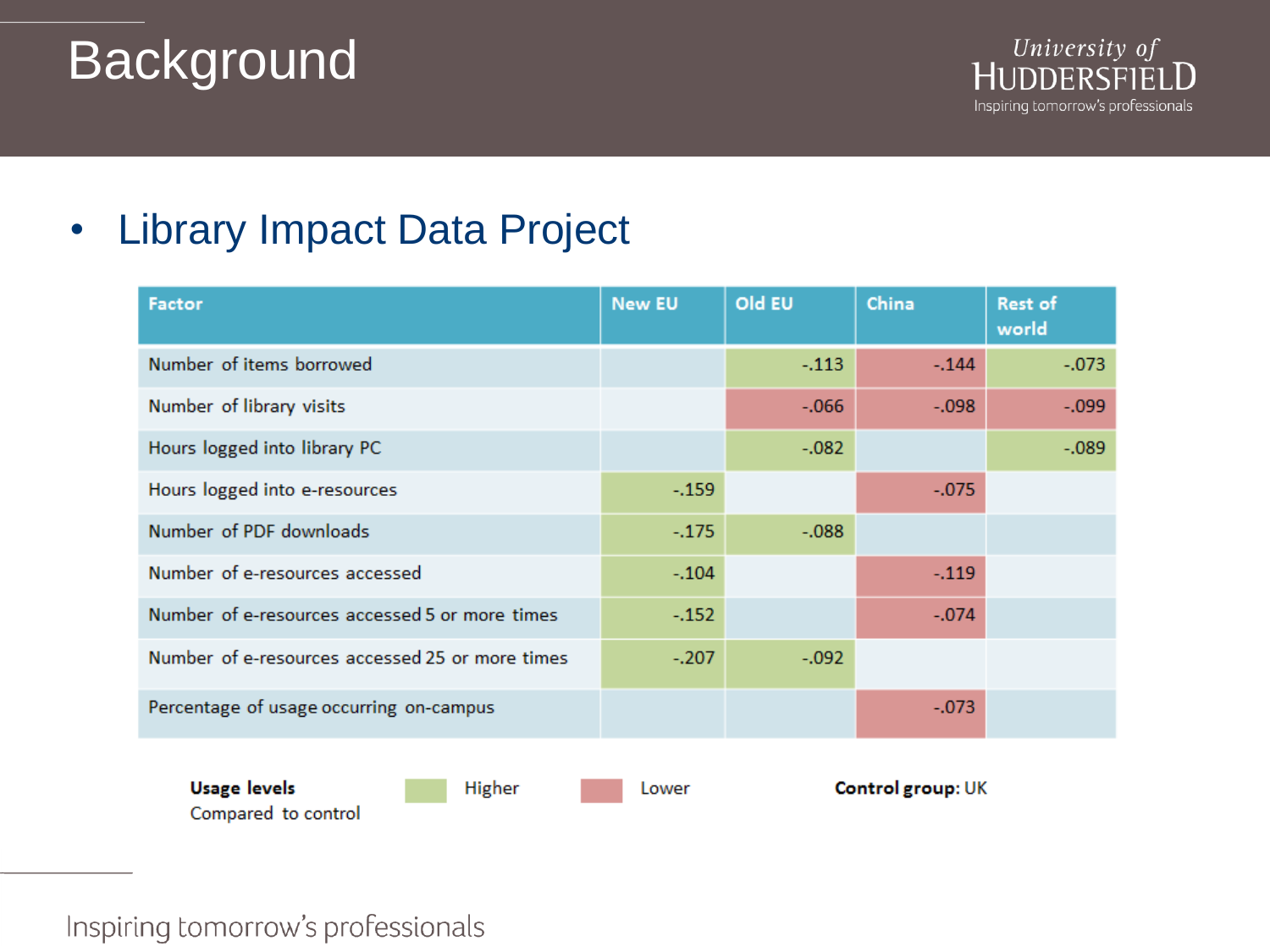# Background



### • Library Impact Data Project

| Factor                                          | <b>New EU</b> | Old EU  | China             | Rest of<br>world |
|-------------------------------------------------|---------------|---------|-------------------|------------------|
| Number of items borrowed                        |               | $-.113$ | $-.144$           | $-.073$          |
| Number of library visits                        |               | $-.066$ | $-.098$           | $-0.099$         |
| Hours logged into library PC                    |               | $-.082$ |                   | $-.089$          |
| Hours logged into e-resources                   | $-.159$       |         | $-.075$           |                  |
| Number of PDF downloads                         | $-.175$       | $-.088$ |                   |                  |
| Number of e-resources accessed                  | $-.104$       |         | $-.119$           |                  |
| Number of e-resources accessed 5 or more times  | $-.152$       |         | $-.074$           |                  |
| Number of e-resources accessed 25 or more times | $-.207$       | $-.092$ |                   |                  |
| Percentage of usage occurring on-campus         |               |         | $-.073$           |                  |
| <b>Usage levels</b><br><b>Higher</b>            | Lower         |         | Control group: UK |                  |

Inspiring tomorrow's professionals

Compared to control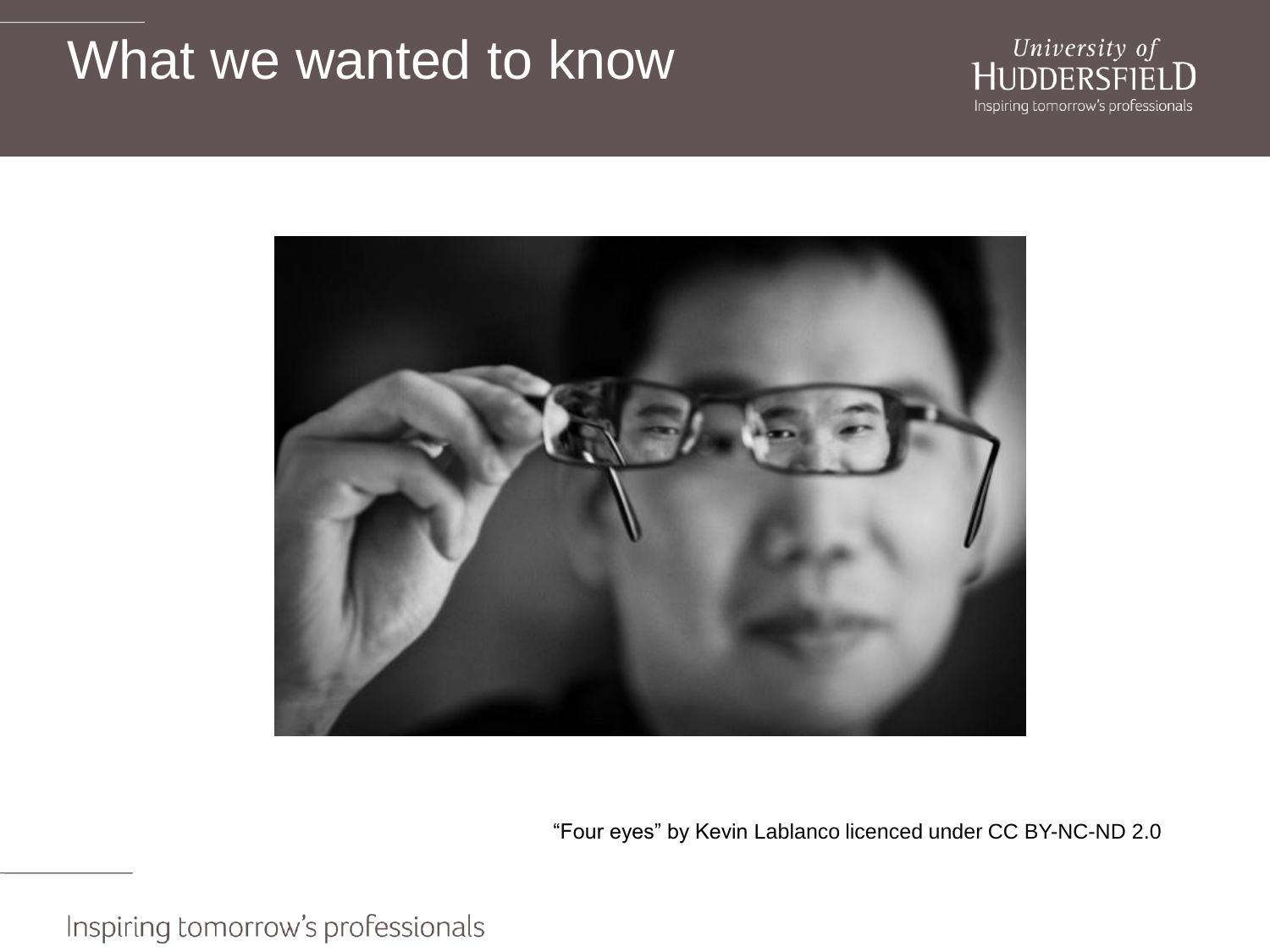### What we wanted to know





"Four eyes" by Kevin Lablanco licenced under CC BY-NC-ND 2.0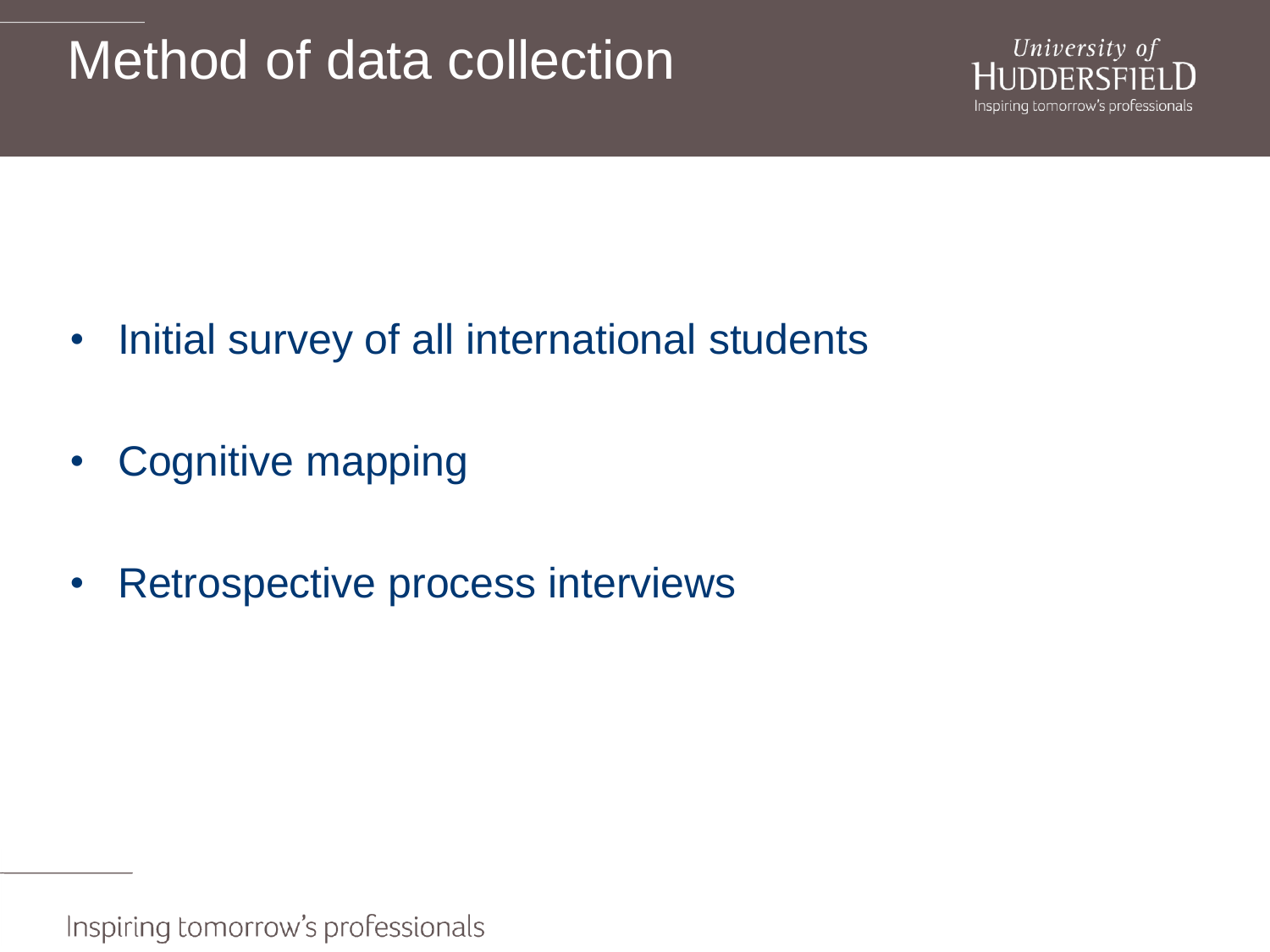### Method of data collection



- Initial survey of all international students
- Cognitive mapping
- Retrospective process interviews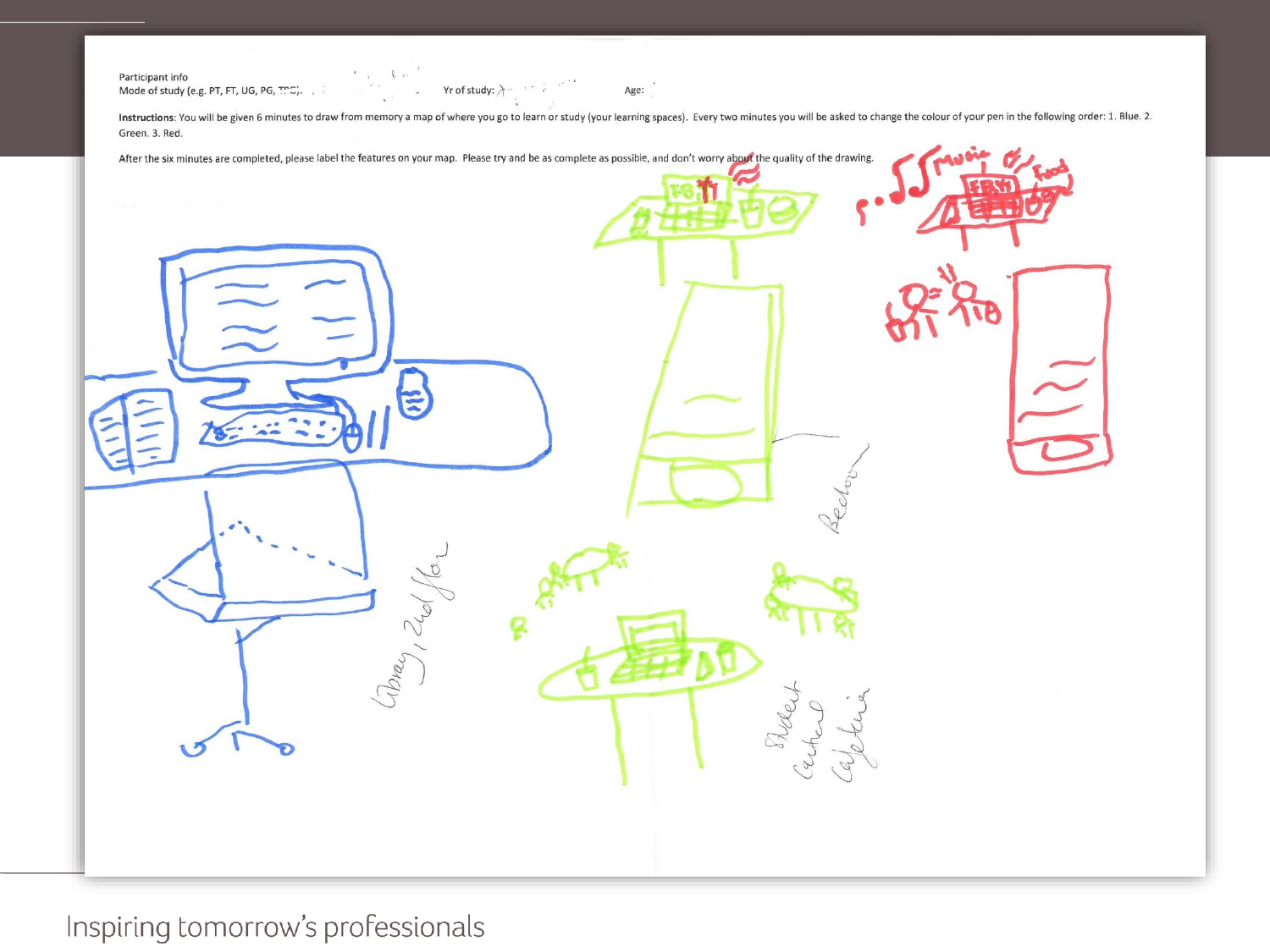Participant info Mode of study (e.g. PT, FT, UG, PG, TTC).

Instructions: You will be given 6 minutes to draw from memory a map of where you go to learn or study (your learning spaces). Every two minutes you will be asked to change the colour of your pen in the following order: 1. Green. 3. Red.

Age:

 $\left(\begin{array}{ccccc} \ddots & & \ddots & \ddots \end{array}\right)$  . The profision of  $\mathcal{A}$  is a set of  $\mathcal{A}$ 

| After the six minutes are completed, please label the features on your map. Please try and be as complete as possible, and don't worry about the quality of the drawing. |
|--------------------------------------------------------------------------------------------------------------------------------------------------------------------------|
|                                                                                                                                                                          |
|                                                                                                                                                                          |
| edor                                                                                                                                                                     |
| 12d<br>Cibray,<br>Rue                                                                                                                                                    |
| $\mathscr{A}$                                                                                                                                                            |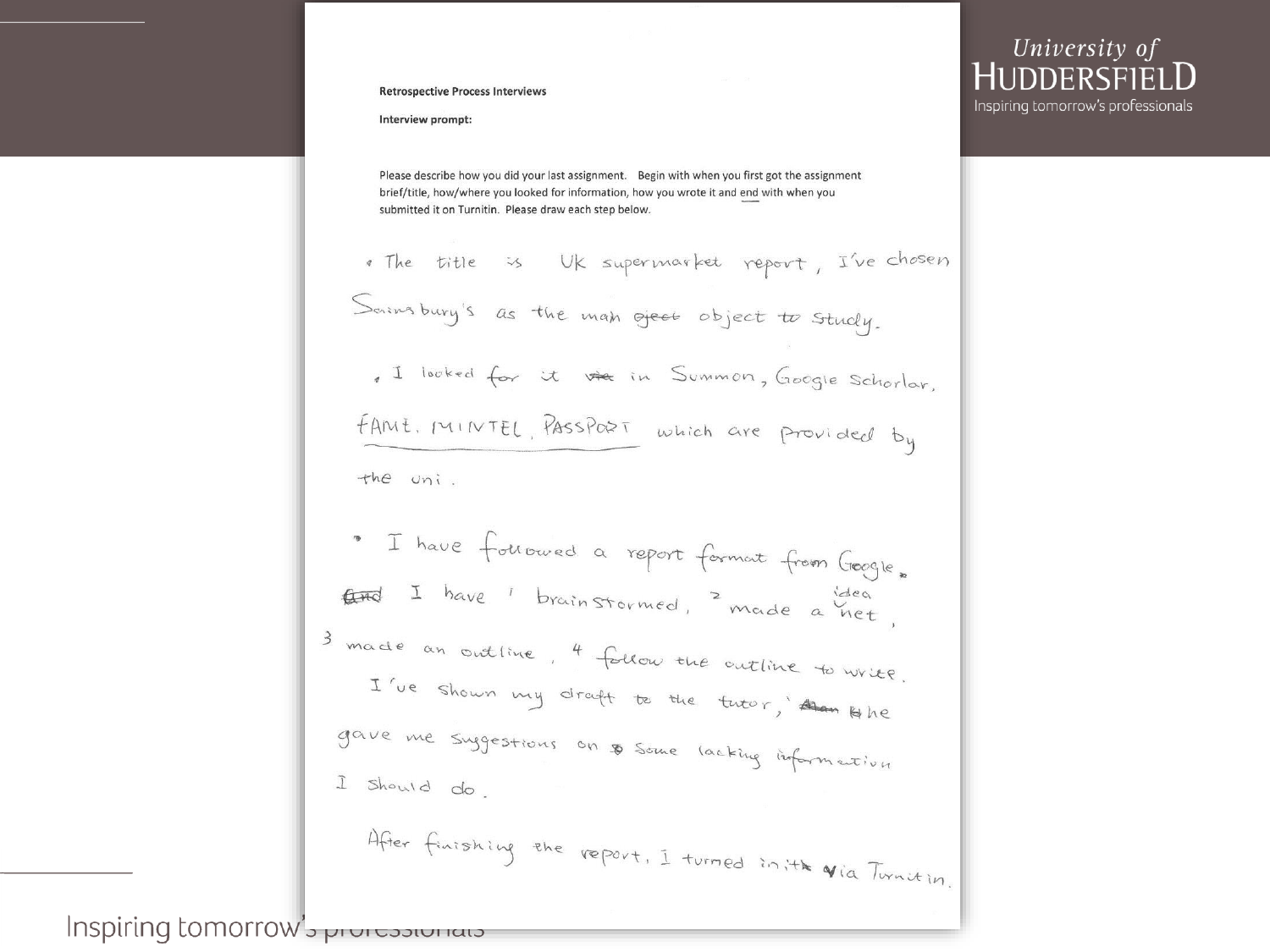### University of **HUDDERSET** Inspiring tomorrow's professionals

### **Retrospective Process Interviews**

### Interview prompt:

Please describe how you did your last assignment. Begin with when you first got the assignment brief/title, how/where you looked for information, how you wrote it and end with when you submitted it on Turnitin. Please draw each step below.

. The title is UK supermarket report, I've chosen Sainsbury's as the man offer object to study. I looked for it the in Summon, Google Schorlar. FAME, MINTEL, PassPORT which are provided by the uni. " I have followed a report format from Geogle. End I have I brainstormed, made a net, 3 made an outline, 4 follow the outline to write. I've shown my draft to the tutor, Am Hbe gave me suggestions on \$ some lacking information I should do After finishing the report, I turned in it to Via Turnition.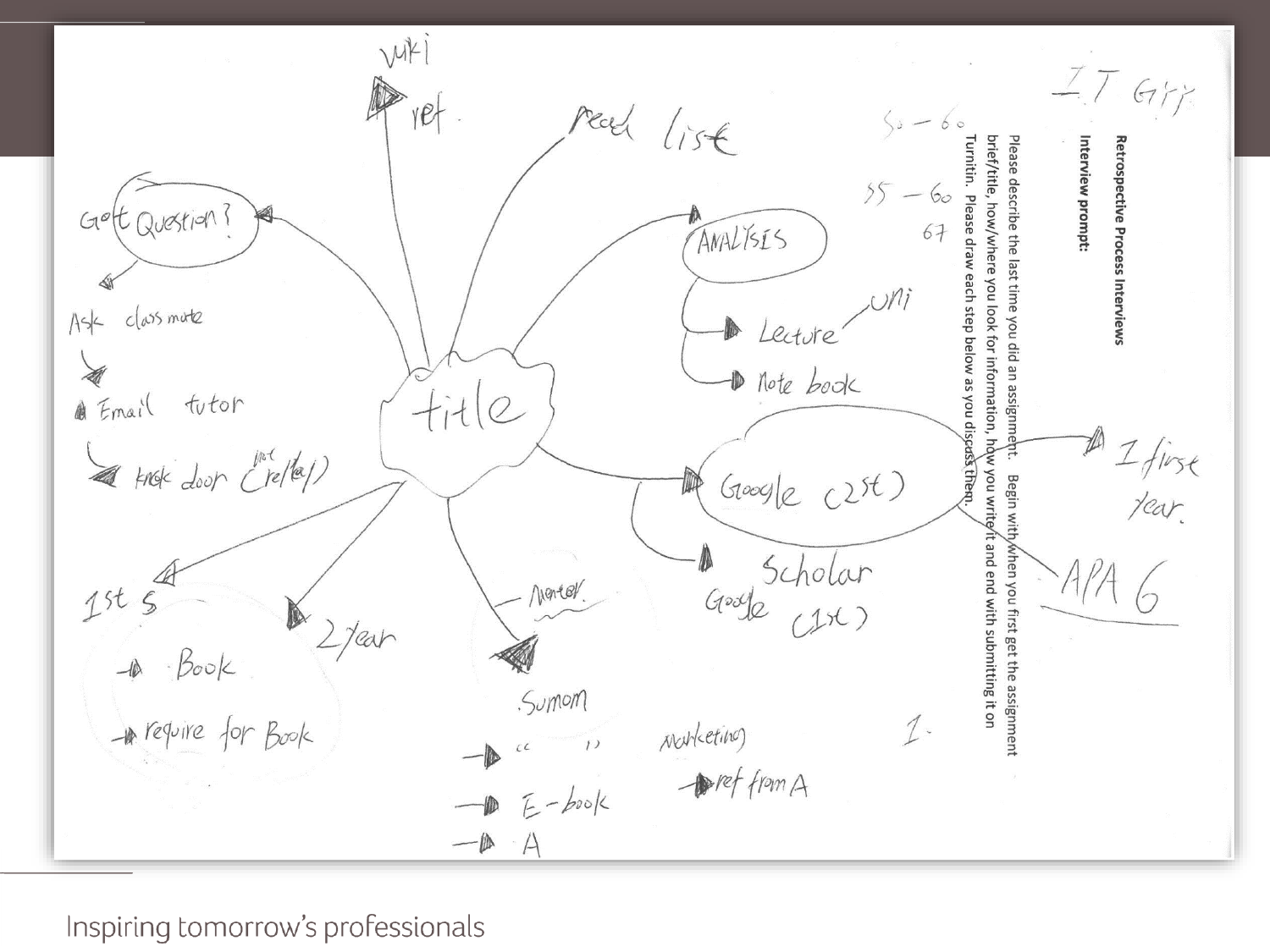viki  $I$ ,  $I$  Giffs read list brief/title, how/where you look for information, how you writey't and end with submitting it on Interview prompt: Retrospective Process Interviews  $55 - 60$ Gott Question ? ANALISES  $cl$  ass mote  $A$ sk 1 Lecture D Note book @ Email tutor  $fit(e)$  $\frac{1}{1}$   $\frac{1}{1}$   $\frac{1}{1}$   $\frac{1}{1}$   $\frac{1}{1}$   $\frac{1}{1}$   $\frac{1}{1}$   $\frac{1}{1}$   $\frac{1}{1}$   $\frac{1}{1}$   $\frac{1}{1}$   $\frac{1}{1}$   $\frac{1}{1}$   $\frac{1}{1}$   $\frac{1}{1}$   $\frac{1}{1}$   $\frac{1}{1}$   $\frac{1}{1}$   $\frac{1}{1}$   $\frac{1}{1}$   $\frac{1}{1}$   $\frac{1}{1}$  A knoke doop ("rela) Begin with/when you first get the assignment Geogle  $c2st$ ) A Scholar<br>Geogle (176)  $2st$   $s$ <br>- Book Nortel.  $2$  /ear *Sumom* A require for Book  $1 -$ *Morketino*  $\rightarrow$  $\text{Perf from } A$  $E$ -book  $-\mathbb{D}$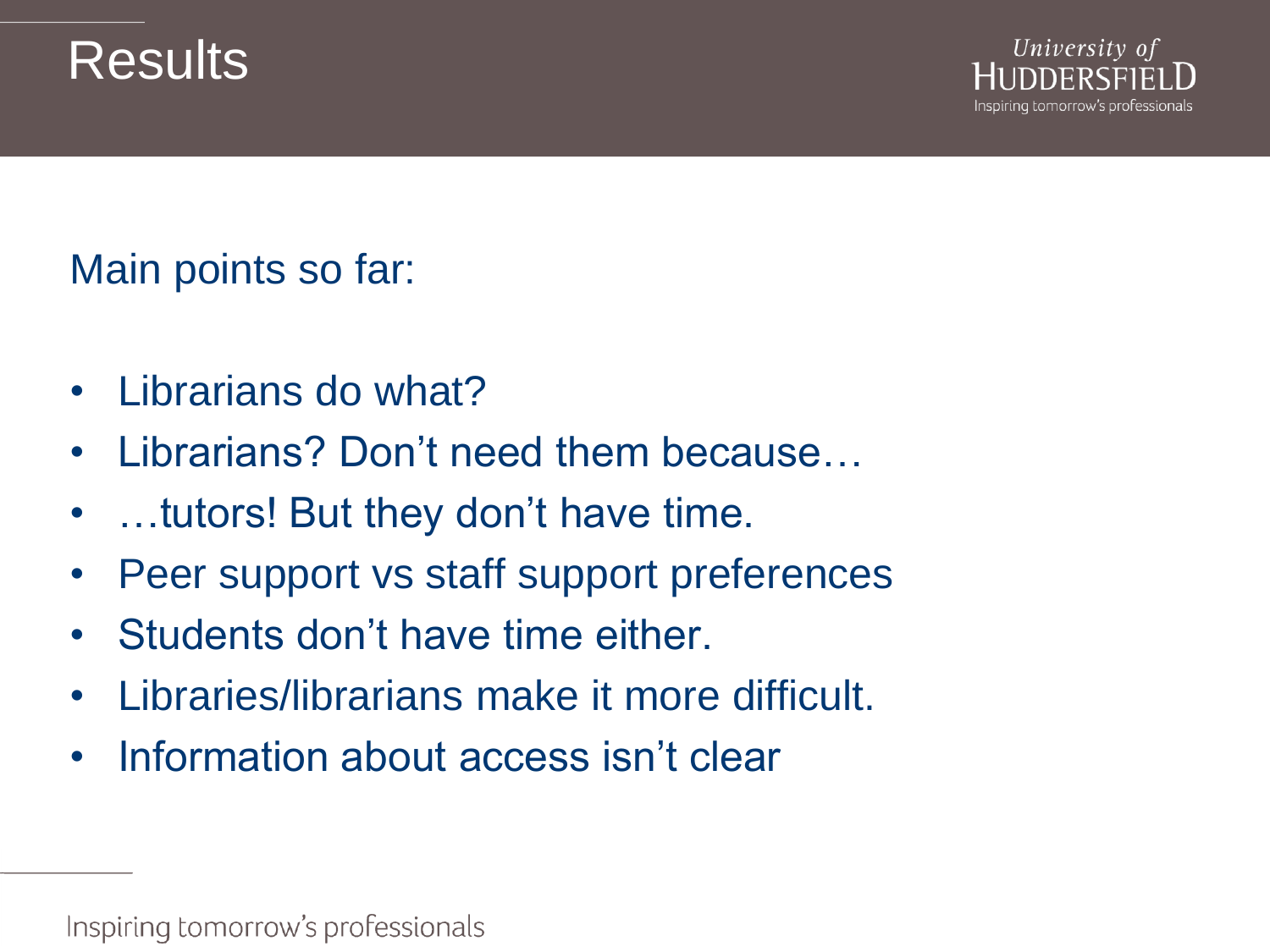### **Results**



Main points so far:

- Librarians do what?
- Librarians? Don't need them because...
- …tutors! But they don't have time.
- Peer support vs staff support preferences
- Students don't have time either.
- Libraries/librarians make it more difficult.
- Information about access isn't clear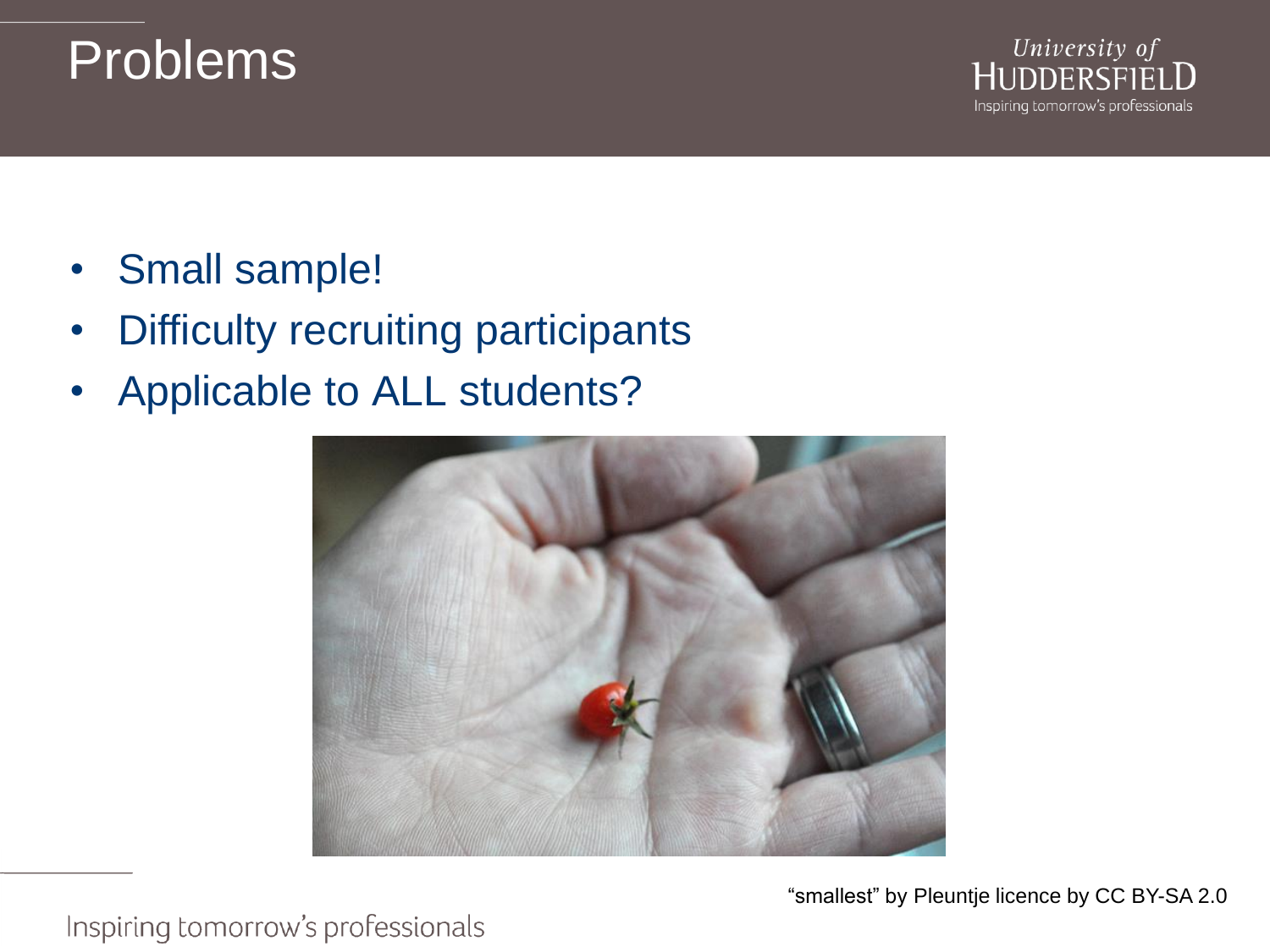### Problems



- Small sample!
- **Difficulty recruiting participants**
- Applicable to ALL students?

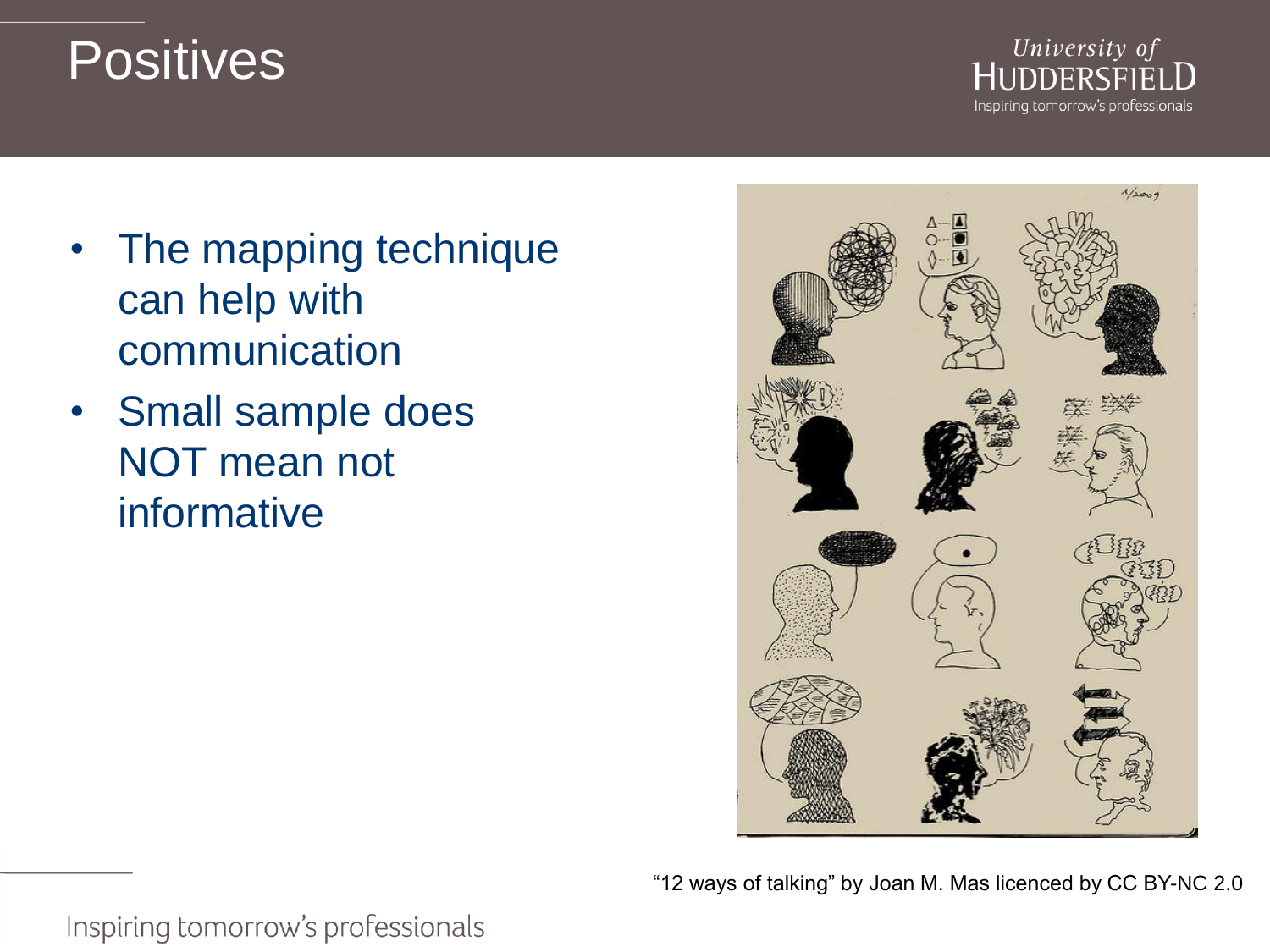## **Positives**

University of HUDDERSFIEI Inspiring tomorrow's professionals

- The mapping technique can help with communication
- Small sample does NOT mean not informative



"12 ways of talking" by Joan M. Mas licenced by CC BY-NC 2.0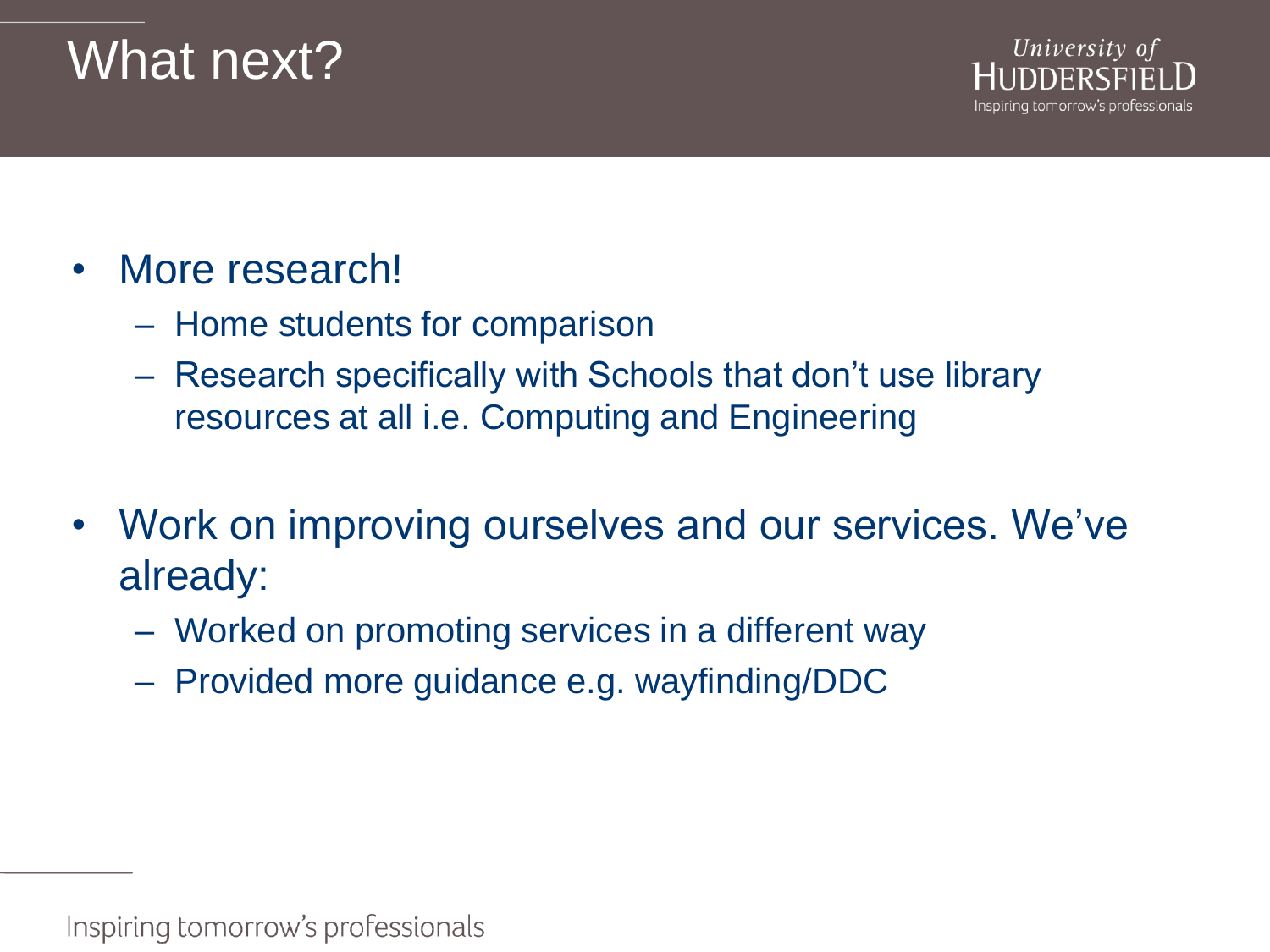## What next?



- More research!
	- Home students for comparison
	- Research specifically with Schools that don't use library resources at all i.e. Computing and Engineering
- Work on improving ourselves and our services. We've already:
	- Worked on promoting services in a different way
	- Provided more guidance e.g. wayfinding/DDC